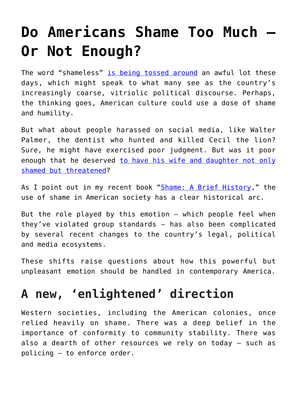## **[Do Americans Shame Too Much –](https://intellectualtakeout.org/2017/11/do-americans-shame-too-much-or-not-enough/) [Or Not Enough?](https://intellectualtakeout.org/2017/11/do-americans-shame-too-much-or-not-enough/)**

The word "shameless" [is being tossed around](https://www.thedailybeast.com/trump-adviser-white-houses-weinstein-attacks-are-shameless) an awful lot these days, which might speak to what many see as the country's increasingly coarse, vitriolic political discourse. Perhaps, the thinking goes, American culture could use a dose of shame and humility.

But what about people harassed on social media, like Walter Palmer, the dentist who hunted and killed Cecil the lion? Sure, he might have exercised poor judgment. But was it poor enough that he deserved [to have his wife and daughter not only](https://www.washingtonpost.com/news/morning-mix/wp/2015/09/08/walter-palmer-dentist-who-hunted-and-killed-cecil-the-lion-returns-to-work/?utm_term=.ee6a41fb054b) [shamed but threatened](https://www.washingtonpost.com/news/morning-mix/wp/2015/09/08/walter-palmer-dentist-who-hunted-and-killed-cecil-the-lion-returns-to-work/?utm_term=.ee6a41fb054b)?

As I point out in my recent book "[Shame: A Brief History](https://books.google.com/books?id=Q4M4DwAAQBAJ&pg=PT12&dq=shame:+a+brief+history&hl=en&sa=X&ved=0ahUKEwjroYmG-aLXAhUD0oMKHVavBkYQ6AEILDAB#v=onepage&q&f=false)," the use of shame in American society has a clear historical arc.

But the role played by this emotion – which people feel when they've violated group standards – has also been complicated by several recent changes to the country's legal, political and media ecosystems.

These shifts raise questions about how this powerful but unpleasant emotion should be handled in contemporary America.

## **A new, 'enlightened' direction**

Western societies, including the American colonies, once relied heavily on shame. There was a deep belief in the importance of conformity to community stability. There was also a dearth of other resources we rely on today – such as policing – to enforce order.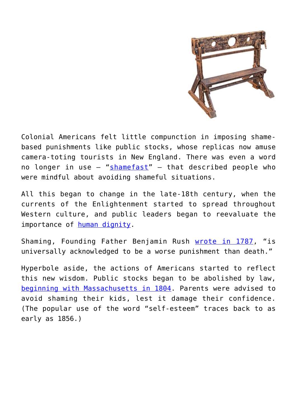

Colonial Americans felt little compunction in imposing shamebased punishments like public stocks, whose replicas now amuse camera-toting tourists in New England. There was even a word no longer in use – "[shamefast"](http://www.dictionary.com/browse/shamefast?s=t) – that described people who were mindful about avoiding shameful situations.

All this began to change in the late-18th century, when the currents of the Enlightenment started to spread throughout Western culture, and public leaders began to reevaluate the importance of [human dignity.](http://ccnmtl.columbia.edu/projects/mmt/udhr/preamble_section_1.html)

Shaming, Founding Father Benjamin Rush [wrote in 1787](https://books.google.com/books?id=xtUKAAAAIAAJ&pg=PA146&lpg=PA146&dq=%22is+universally+acknowledged+to+be+a+worse+punishment+than+death%22&source=bl&ots=aL0BN1o0aR&sig=VQDmYEsdnaTcvH3r-Vkhwb-tSM0&hl=en&sa=X&ved=0ahUKEwjL4q_91ZjXAhUn34MKHSk_Ca0Q6AEILTAD#v=onepage&q=%22is%20universally%20acknowledged%20to%20be%20a%20worse%20punishment%20than%20death%22&f=false), "is universally acknowledged to be a worse punishment than death."

Hyperbole aside, the actions of Americans started to reflect this new wisdom. Public stocks began to be abolished by law, [beginning with Massachusetts in 1804](https://books.google.com/books?id=jX45DwAAQBAJ&pg=PT119&dq=%22massachusetts+abolished+whipping,+branding,+the+stock%22&hl=en&sa=X&ved=0ahUKEwi_45jZ45jXAhWkzIMKHRUqDMQQ6AEIJjAA#v=onepage&q=%22massachusetts%20abolished%20whipping%2C%20branding%2C%20the%20stock%22&f=false). Parents were advised to avoid shaming their kids, lest it damage their confidence. (The popular use of the word "self-esteem" traces back to as early as 1856.)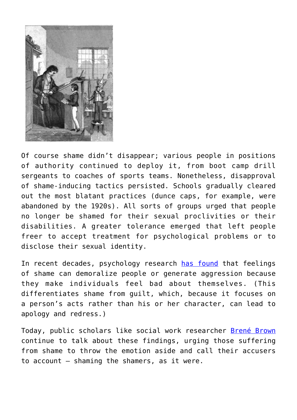

Of course shame didn't disappear; various people in positions of authority continued to deploy it, from boot camp drill sergeants to coaches of sports teams. Nonetheless, disapproval of shame-inducing tactics persisted. Schools gradually cleared out the most blatant practices (dunce caps, for example, were abandoned by the 1920s). All sorts of groups urged that people no longer be shamed for their sexual proclivities or their disabilities. A greater tolerance emerged that left people freer to accept treatment for psychological problems or to disclose their sexual identity.

In recent decades, psychology research [has found](https://www.guilford.com/books/Shame-and-Guilt/Tangney-Dearing/9781572309876/authors) that feelings of shame can demoralize people or generate aggression because they make individuals feel bad about themselves. (This differentiates shame from guilt, which, because it focuses on a person's acts rather than his or her character, can lead to apology and redress.)

Today, public scholars like social work researcher [Brené Brown](https://www.ted.com/talks/brene_brown_listening_to_shame/transcript) continue to talk about these findings, urging those suffering from shame to throw the emotion aside and call their accusers to account – shaming the shamers, as it were.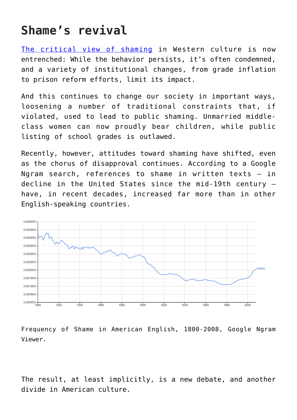## **Shame's revival**

[The critical view of shaming](https://www.jstor.org/stable/40971965?seq=1#page_scan_tab_contents) in Western culture is now entrenched: While the behavior persists, it's often condemned, and a variety of institutional changes, from grade inflation to prison reform efforts, limit its impact.

And this continues to change our society in important ways, loosening a number of traditional constraints that, if violated, used to lead to public shaming. Unmarried middleclass women can now proudly bear children, while public listing of school grades is outlawed.

Recently, however, attitudes toward shaming have shifted, even as the chorus of disapproval continues. According to a Google Ngram search, references to shame in written texts – in decline in the United States since the mid-19th century – have, in recent decades, increased far more than in other English-speaking countries.



Frequency of Shame in American English, 1800-2008, Google Ngram Viewer.

The result, at least implicitly, is a new debate, and another divide in American culture.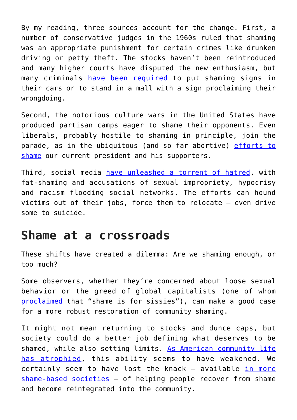By my reading, three sources account for the change. First, a number of conservative judges in the 1960s ruled that shaming was an appropriate punishment for certain crimes like drunken driving or petty theft. The stocks haven't been reintroduced and many higher courts have disputed the new enthusiasm, but many criminals [have been required](https://www.jstor.org/stable/1289392?seq=1#page_scan_tab_contents) to put shaming signs in their cars or to stand in a mall with a sign proclaiming their wrongdoing.

Second, the notorious culture wars in the United States have produced partisan camps eager to shame their opponents. Even liberals, probably hostile to shaming in principle, join the parade, as in the ubiquitous (and so far abortive) [efforts to](https://www.dailykos.com/stories/2017/7/2/1677200/-Shaming-Trump-s-voters-his-supporters-and-apologists-is-exactly-what-we-should-do) [shame](https://www.dailykos.com/stories/2017/7/2/1677200/-Shaming-Trump-s-voters-his-supporters-and-apologists-is-exactly-what-we-should-do) our current president and his supporters.

Third, social media [have unleashed a torrent of hatred,](http://www.cnn.com/2015/04/16/living/feat-public-shaming-ronson/index.html) with fat-shaming and accusations of sexual impropriety, hypocrisy and racism flooding social networks. The efforts can hound victims out of their jobs, force them to relocate – even drive some to suicide.

## **Shame at a crossroads**

These shifts have created a dilemma: Are we shaming enough, or too much?

Some observers, whether they're concerned about loose sexual behavior or the greed of global capitalists (one of whom [proclaimed](http://www.motherjones.com/politics/2005/09/shame-sissies/) that "shame is for sissies"), can make a good case for a more robust restoration of community shaming.

It might not mean returning to stocks and dunce caps, but society could do a better job defining what deserves to be shamed, while also setting limits. [As American community life](http://www.simonandschuster.com/books/Bowling-Alone/Robert-D-Putnam/9780743203043) [has atrophied](http://www.simonandschuster.com/books/Bowling-Alone/Robert-D-Putnam/9780743203043), this ability seems to have weakened. We certainly seem to have lost the knack – available [in more](http://journals.sagepub.com/doi/abs/10.1177/1354067X04040929?journalCode=capa) [shame-based societies](http://journals.sagepub.com/doi/abs/10.1177/1354067X04040929?journalCode=capa) – of helping people recover from shame and become reintegrated into the community.